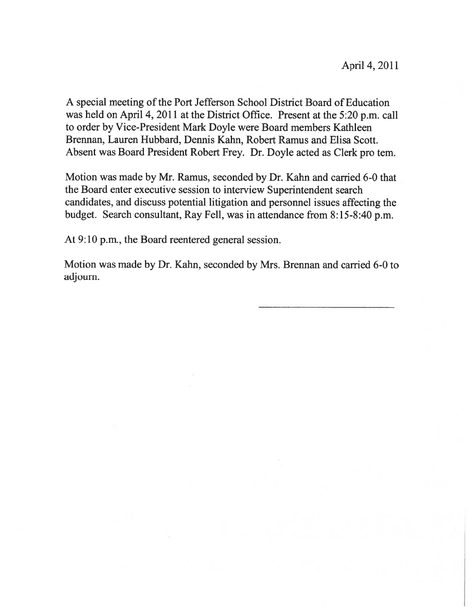A special meeting of the Port Jefferson School District Board of Education was held on April 4, 2011 at the District Office. Present at the 5:20 p.m. call to order by Vice-President Mark Doyle were Board members Kathleen Brennan, Lauren Hubbard, Dennis Kahn, Robert Ramus and Elisa Scott. Absent was Board President Robert Frey. Dr. Doyle acted as Clerk pro tem.

Motion was made by Mr. Ramus, seconded by Dr. Kahn and carried 6-0 that the Board enter executive session to interview Superintendent search candidates, and discuss potential litigation and personnel issues affecting the budget. Search consultant, Ray Fell, was in attendance from 8:15-8:40 p.m.

At 9:10 p.m., the Board reentered general session.

Motion was made by Dr. Kahn, seconded by Mrs. Brennan and carried 6-0 to adjourn.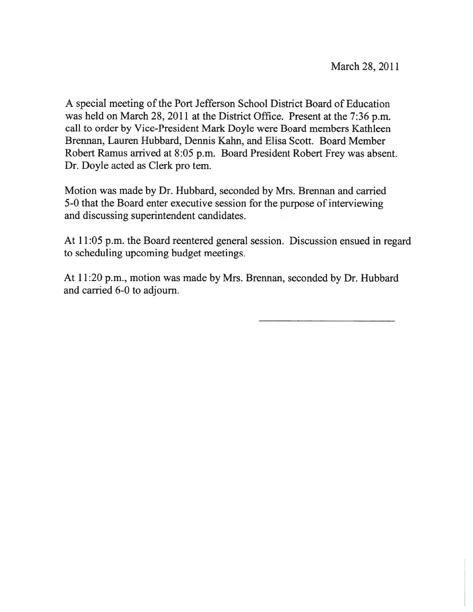A special meeting of the Port Jefferson School District Board of Education was held on March 28, 2011 at the District Office. Present at the 7:36 p.m. call to order by Vice-President Mark Doyle were Board members Kathleen Brennan, Lauren Hubbard, Dennis Kahn, and Elisa Scott. Board Member Robert Ramus arrived at 8:05 p.m. Board President Robert Frey was absent. Dr. Doyle acted as Clerk pro tem.

Motion was made by Dr. Hubbard, seconded by Mrs. Brennan and carried 5-0 that the Board enter executive session for the purpose of interviewing and discussing superintendent candidates.

At 11:05 p.m. the Board reentered general session. Discussion ensued in regard to scheduling upcoming budget meetings.

At 11:20 p.m., motion was made by Mrs. Brennan, seconded by Dr. Hubbard and carried 6-0 to adjourn.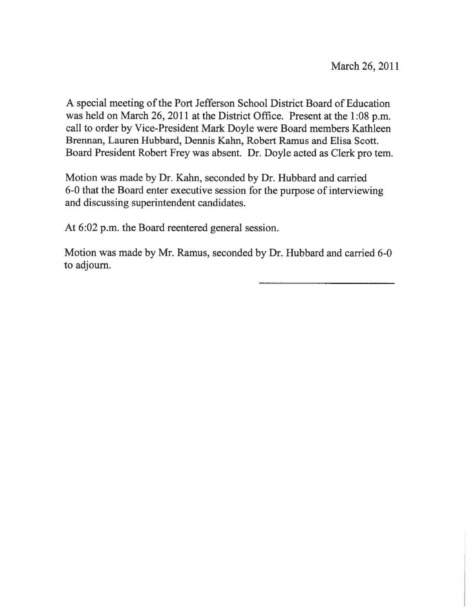A special meeting of the Port Jefferson School District Board of Education was held on March 26, 2011 at the District Office. Present at the 1:08 p.m. call to order by Vice-President Mark Doyle were Board members Kathleen Brennan, Lauren Hubbard, Dennis Kahn, Robert Ramus and Elisa Scott. Board President Robert Frey was absent. Dr. Doyle acted as Clerk pro tern.

Motion was made by Dr. Kahn, seconded by Dr. Hubbard and carried 6-0 that the Board enter executive session for the purpose of interviewing and discussing superintendent candidates.

At 6:02 p.m. the Board reentered general session.

Motion was made by Mr. Ramus, seconded by Dr. Hubbard and carried 6-0 to adjourn.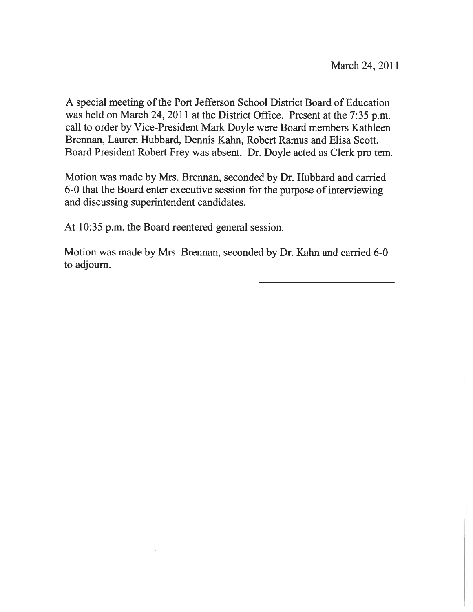A special meeting of the Port Jefferson School District Board of Education was held on March 24, 2011 at the District Office. Present at the 7:35 p.m. call to order by Vice-President Mark Doyle were Board members Kathleen Brennan, Lauren Hubbard, Dennis Kahn, Robert Ramus and Elisa Scott. Board President Robert Frey was absent. Dr. Doyle acted as Clerk pro tern.

Motion was made by Mrs. Brennan, seconded by Dr. Hubbard and carried 6-0 that the Board enter executive session for the purpose of interviewing and discussing superintendent candidates.

At 10:35 p.m. the Board reentered general session.

Motion was made by Mrs. Brennan, seconded by Dr. Kahn and carried 6-0 to adjourn.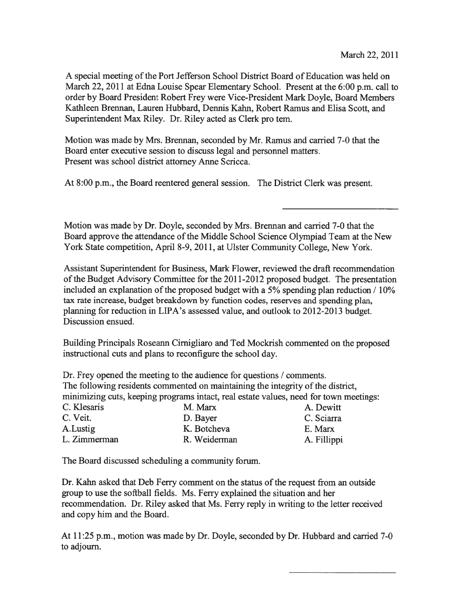A special meeting ofthe Port Jefferson School District Board of Education was held on March 22, 2011 at Edna Louise Spear Elementary School. Present at the 6:00 p.m. call to order by Board President Robert Frey were Vice-President Mark Doyle, Board Members Kathleen Brennan, Lauren Hubbard, Dennis Kahn, Robert Ramus and Elisa Scott, and Superintendent Max Riley. Dr. Riley acted as Clerk pro tem.

Motion was made by Mrs. Brennan, seconded by Mr. Ramus and carried 7-0 that the Board enter executive session to discuss legal and personnel matters. Present was school district attorney Anne Scricca.

At 8:00 p.m., the Board reentered general session. The District Clerk was present.

Motion was made by Dr. Doyle, seconded by Mrs. Brennan and carried 7-0 that the Board approve the attendance of the Middle School Science Olympiad Team at the New York State competition, April 8-9, 2011, at Ulster Community College, New York.

Assistant Superintendent for Business, Mark Flower, reviewed the draft recommendation of the Budget Advisory Committee for the 2011-2012 proposed budget. The presentation included an explanation of the proposed budget with a 5% spending plan reduction  $/10\%$ tax rate increase, budget breakdown by function codes, reserves and spending plan, planning for reduction in LIPA's assessed value, and outlook to 2012-2013 budget. Discussion ensued.

Building Principals Roseann Cirnigliaro and Ted Mockrish commented on the proposed instructional cuts and plans to reconfigure the school day.

Dr. Frey opened the meeting to the audience for questions / comments. The following residents commented on maintaining the integrity of the district, minimizing cuts, keeping programs intact, real estate values, need for town meetings:

| M. Marx      | A. Dewitt   |
|--------------|-------------|
| D. Bayer     | C. Sciarra  |
| K. Botcheva  | E. Marx     |
| R. Weiderman | A. Fillippi |
|              |             |

The Board discussed scheduling <sup>a</sup> community forum.

Dr. Kahn asked that Deb Ferry comment on the status of the request from an outside group to use the softball fields. Ms. Ferry explained the situation and her recommendation. Dr. Riley asked that Ms. Ferry reply in writing to the letter received and copy him and the Board.

At 11:25 p.m., motion was made by Dr. Doyle, seconded by Dr. Hubbard and carried 7-0 to adjourn.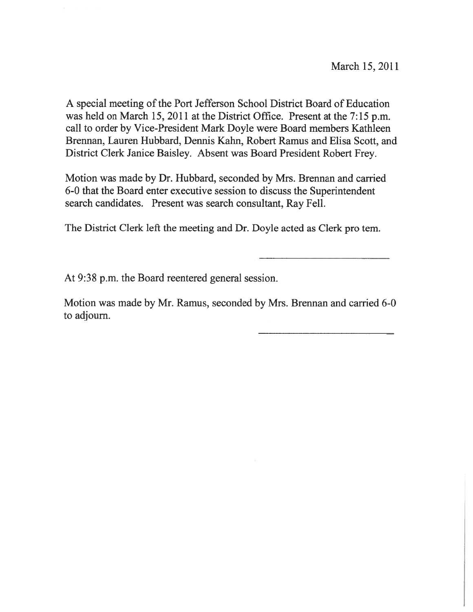A special meeting of the Port Jefferson School District Board of Education was held on March 15, 2011 at the District Office. Present at the 7:15 p.m. call to order by Vice-President Mark Doyle were Board members Kathleen Brennan, Lauren Hubbard, Dennis Kahn, Robert Ramus and Elisa Scott, and District Clerk Janice Baisley. Absent was Board President Robert Frey.

Motion was made by Dr. Hubbard, seconded by Mrs. Brennan and carried 6-0 that the Board enter executive session to discuss the Superintendent search candidates. Present was search consultant, Ray Fell.

The District Clerk left the meeting and Dr. Doyle acted as Clerk pro tem.

At 9:38 p.m. the Board reentered general session.

Motion was made by Mr. Ramus, seconded by Mrs. Brennan and carried 6-0 to adjourn.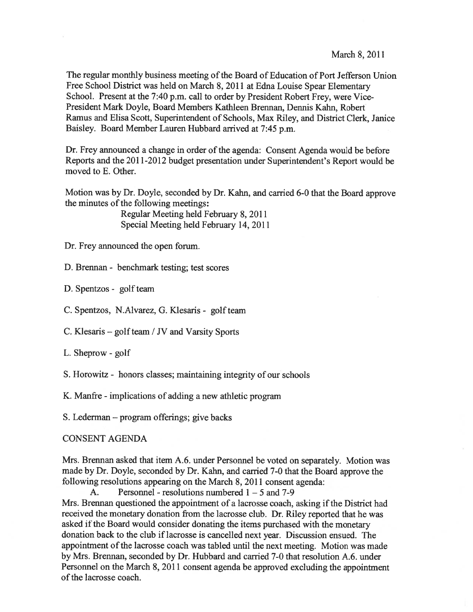The regular monthly business meeting of the Board of Education of Port Jefferson Union Free School District was held on March 8, <sup>2011</sup> at Edna Louise Spear Elementary School. Present at the 7:40 p.m. call to order by President Robert Frey, were Vice-President Mark Doyle, Board Members Kathleen Brennan, Dennis Kahn, Robert Ramus and Elisa Scott, Superintendent of Schools, Max Riley, and District Clerk, Janice Baisley. Board Member Lauren Hubbard arrived at 7:45 p.m.

Dr. Frey announced a change in order of the agenda: Consent Agenda would be before Reports and the 2011-2012 budget presentation under Superintendent's Report would be moved to E. Other.

Motion was by Dr. Doyle, seconded by Dr. Kahn, and carried 6-0 that the Board approve the minutes of the following meetings:

> Regular Meeting held February 8, 2011 Special Meeting held February 14, 2011

Dr. Frey announced the open forum.

D. Brennan - benchmark testing; test scores

D. Spentzos - golf team

C. Spentzos, N.Alvarez, G. Klesaris - golf team

C. Klesaris – golf team / JV and Varsity Sports

L. Sheprow - golf

S. Horowitz - honors classes; maintaining integrity of our schools

K. Manfre - implications of adding <sup>a</sup> new athletic program

S. Lederman — program offerings; give backs

#### CONSENT AGENDA

Mrs. Brennan asked that item A.6. under Personnel be voted on separately. Motion was made by Dr. Doyle, seconded by Dr. Kahn, and carried 7-0 that the Board approve the following resolutions appearing on the March 8, 2011 consent agenda:

A. Personnel - resolutions numbered  $1 - 5$  and 7-9 Mrs. Brennan questioned the appointment of a lacrosse coach, asking if the District had received the monetary donation from the lacrosse club. Dr. Riley reported that he was asked if the Board would consider donating the items purchased with the monetary donation back to the club iflacrosse is cancelled next year. Discussion ensued. The appointment of the lacrosse coach was tabled until the next meeting. Motion was made by Mrs. Brennan, seconded by Dr. Hubbard and carried 7-0 that resolution A.6. under Personnel on the March 8, 2011 consent agenda be approved excluding the appointment of the lacrosse coach.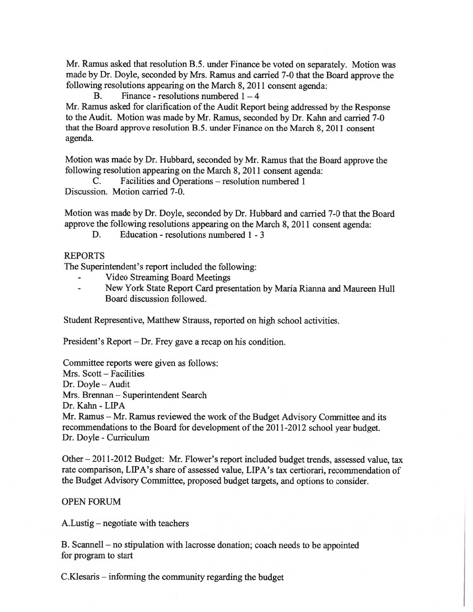Mr. Ramus asked that resolution B.5. under Finance be voted on separately. Motion was made by Dr. Doyle, seconded by Mrs. Ramus and carried 7-0 that the Board approve the following resolutions appearing on the March 8, 2011 consent agenda:

B. Finance - resolutions numbered  $1 - 4$ 

Mr. Ramus asked for clarification of the Audit Report being addressed by the Response to the Audit. Motion was made by Mr. Ramus, seconded by Dr. Kahn and carried 7-0 that the Board approve resolution B.5. under Finance on the March 8, 2011 consent agenda.

Motion was made by Dr. Hubbard, seconded by Mr. Ramus that the Board approve the following resolution appearing on the March 8, 2011 consent agenda:

C. Facilities and Operations — resolution numbered 1 Discussion. Motion carried 7-0.

Motion was made by Dr. Doyle, seconded by Dr. Hubbard and carried 7-0 that the Board approve the following resolutions appearing on the March 8, 2011 consent agenda:

D. Education - resolutions numbered I - 3

## REPORTS

The Superintendent's repor<sup>t</sup> included the following:

- Video Streaming Board Meetings
- New York State Report Card presentation by Maria Rianna and Maureen Hull Board discussion followed.

Student Representive, Matthew Strauss, reported on high school activities.

President's Report — Dr. Frey gave <sup>a</sup> recap on his condition.

Committee reports were given as follows: Mrs. Scott — Facilities Dr. Doyle — Audit Mrs. Brennan — Superintendent Search Dr. Kahn -LIPA Mr. Ramus - Mr. Ramus reviewed the work of the Budget Advisory Committee and its recommendations to the Board for development of the 2011-2012 school year budget. Dr. Doyle -Curriculum

Other — 2011-2012 Budget: Mr. Flower's repor<sup>t</sup> included budget trends, assessed value, tax rate comparison, LIPA's share of assessed value, LIPA's tax certiorari, recommendation of the Budget Advisory Committee, proposed budget targets, and options to consider.

## OPEN FORUM

A.Lustig — negotiate with teachers

B. Scannell — no stipulation with lacrosse donation; coach needs to be appointed for program to start

C.Klesaris — informing the community regarding the budget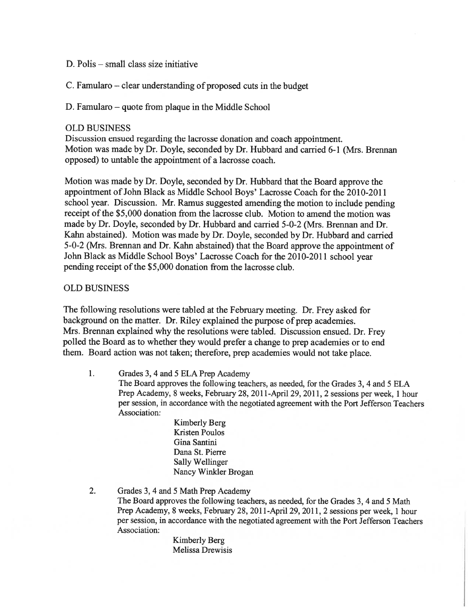- D. Polis small class size initiative
- C. Famularo clear understanding of proposed cuts in the budget
- D. Famularo quote from plaque in the Middle School

## OLD BUSINESS

Discussion ensued regarding the lacrosse donation and coach appointment. Motion was made by Dr. Doyle, seconded by Dr. Hubbard and carried 6-1 (Mrs. Brennan opposed) to untable the appointment of <sup>a</sup> lacrosse coach.

Motion was made by Dr. Doyle, seconded by Dr. Hubbard that the Board approve the appointment of John Black as Middle School Boys' Lacrosse Coach for the 2010-2011 school year. Discussion. Mr. Ramus suggested amending the motion to include pending receipt of the \$5,000 donation from the lacrosse club. Motion to amend the motion was made by Dr. Doyle, seconded by Dr. Hubbard and carried 5-0-2 (Mrs. Brennan and Dr. Kahn abstained). Motion was made by Dr. Doyle, seconded by Dr. Hubbard and carried 5-0-2 (Mrs. Brennan and Dr. Kahn abstained) that the Board approve the appointment of John Black as Middle School Boys' Lacrosse Coach for the 2010-2011 school year pending receipt of the \$5,000 donation from the lacrosse club.

## OLD BUSINESS

The following resolutions were tabled at the February meeting. Dr. Frey asked for background on the matter. Dr. Riley explained the purpose of prep academies. Mrs. Brennan explained why the resolutions were tabled. Discussion ensued. Dr. Frey polled the Board as to whether they would prefer <sup>a</sup> change to prep academies or to end them. Board action was not taken; therefore, prep academies would not take <sup>p</sup>lace.

1. Grades 3, 4 and 5 ELA Prep Academy The Board approves the following teachers, as needed, for the Grades 3, 4 and 5 ELA Prep Academy, <sup>8</sup> weeks, February 28, 2011-April 29, 2011, <sup>2</sup> sessions per week, <sup>1</sup> hour per session, in accordance with the negotiated agreemen<sup>t</sup> with the Port Jefferson Teachers Association:

> Kimberly Berg Kristen Poulos Gina Santini Dana St. Pierre Sally Wellinger Nancy Winkler Brogan

2. Grades 3, 4 and 5 Math Prep Academy The Board approves the following teachers, as needed, for the Grades 3, 4 and 5 Math Prep Academy, <sup>8</sup> weeks, February 28, 2011-April 29, 2011, <sup>2</sup> sessions per week, <sup>1</sup> hour per session, in accordance with the negotiated agreemen<sup>t</sup> with the Port Jefferson Teachers Association:

Kimberly Berg Melissa Drewisis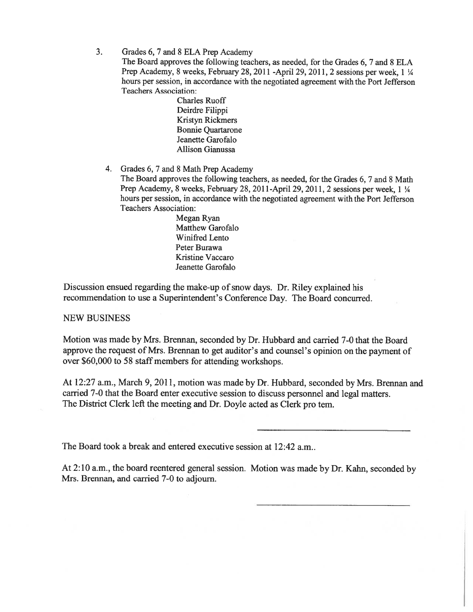3. Grades 6, 7 and 8 ELA Prep Academy

The Board approves the following teachers, as needed, for the Grades 6, 7 and 8 ELA Prep Academy, <sup>8</sup> weeks, February 28, <sup>2011</sup> -April 29, 2011, <sup>2</sup> sessions per week, <sup>1</sup> <sup>¼</sup> hours per session, in accordance with the negotiated agreemen<sup>t</sup> with the Port Jefferson Teachers Association:

> Charles Ruoff Deirdre Filippi Kristyn Rickmers Bonnie Quartarone Jeanette Garofalo Allison Gianussa

4. Grades 6, 7 and 8 Math Prep Academy

The Board approves the following teachers, as needed, for the Grades 6, 7 and 8 Math Prep Academy, 8 weeks, February 28, 2011-April 29, 2011, 2 sessions per week, 1 ¼ hours per session, in accordance with the negotiated agreemen<sup>t</sup> with the Port Jefferson Teachers Association:

> Megan Ryan Matthew Garofalo Winifred Lento Peter Burawa Kristine Vaccaro Jeanette Garofalo

Discussion ensued regarding the make-up of snow days. Dr. Riley explained his recommendation to use <sup>a</sup> Superintendent's Conference Day. The Board concurred.

## NEW BUSINESS

Motion was made by Mrs. Brennan, seconded by Dr. Hubbard and carried 7-0 that the Board approve the reques<sup>t</sup> of Mrs. Brennan to ge<sup>t</sup> auditor's and counsel's opinion on the paymen<sup>t</sup> of over \$60,000 to 58 staff members for attending workshops.

At 12:27 a.m., March 9, 2011, motion was made by Dr. Hubbard, seconded by Mrs. Brennan and carried 7-0 that the Board enter executive session to discuss personne<sup>l</sup> and legal matters. The District Clerk left the meeting and Dr. Doyle acted as Clerk pro tern.

The Board took <sup>a</sup> break and entered executive session at 12:42 a.m..

At 2:10 a.m., the board reentered genera<sup>l</sup> session. Motion was made by Dr. Kahn, seconded by Mrs. Brennan, and carried 7-0 to adjourn.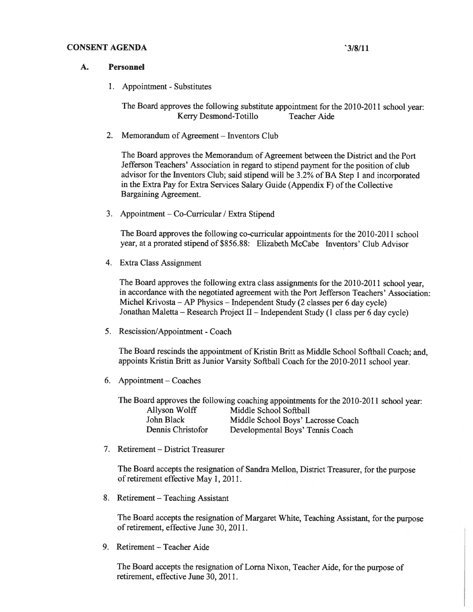#### CONSENT AGENDA '3/8/11

#### A. Personnel

1. Appointment - Substitutes

The Board approves the following substitute appointment for the 2010-2011 school year: Kerry Desmond-Totillo Teacher Aide

2. Memorandum of Agreement — Inventors Club

The Board approves the Memorandum of Agreement between the District and the Port Jefferson Teachers' Association in regar<sup>d</sup> to stipend paymen<sup>t</sup> for the position of club advisor for the Inventors Club; said stipend will be 3.2% of BA Step <sup>I</sup> and incorporated in the Extra Pay for Extra Services Salary Guide (Appendix F) of the Collective Bargaining Agreement.

3. Appointment — Co-Curricular / Extra Stipend

The Board approves the following co-curricular appointments for the 2010-2011 school year, at <sup>a</sup> prorated stipend of \$856.88: Elizabeth McCabe Inventors' Club Advisor

4. Extra Class Assignment

The Board approves the following extra class assignments for the 2010-2011 school year, in accordance with the negotiated agreemen<sup>t</sup> with the Port Jefferson Teachers' Association: Michel Krivosta — AP Physics — Independent Study (2 classes per <sup>6</sup> day cycle) Jonathan Maletta — Research Project II — Independent Study (1 class per <sup>6</sup> day cycle)

5. Rescission/Appointment - Coach

The Board rescinds the appointment of Kristin Britt as Middle School Softball Coach; and, appoints Kristin Britt as Junior Varsity Softball Coach for the 2010-2011 school year.

6. Appointment — Coaches

The Board approves the following coaching appointments for the 2010-2011 school year: Allyson Wolff Middle School Softball

| John Black        | Middle School Boys' Lacrosse Coach |
|-------------------|------------------------------------|
| Dennis Christofor | Developmental Boys' Tennis Coach   |

7. Retirement — District Treasurer

The Board accepts the resignation of Sandra Mellon, District Treasurer, for the purpose of retirement effective May 1, 2011.

8. Retirement — Teaching Assistant

The Board accepts the resignation of Margaret White, Teaching Assistant, for the purpose of retirement, effective June 30, 2011.

9. Retirement — Teacher Aide

The Board accepts the resignation of Loma Nixon, Teacher Aide, for the purpose of retirement, effective June 30, 2011.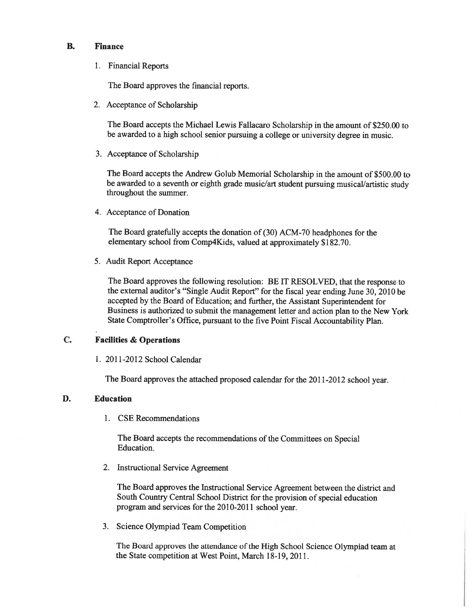#### B. Finance

1. Financial Reports

The Board approves the financial reports.

2. Acceptance of Scholarship

The Board accepts the Michael Lewis Fallacaro Scholarship in the amount of \$250.00 to be awarded to <sup>a</sup> high school senior pursuing <sup>a</sup> college or university degree in music.

3. Acceptance of Scholarship

The Board accepts the Andrew Golub Memorial Scholarship in the amount of \$500.00 to be awarded to a seventh or eighth grade music/art student pursuing musical/artistic study throughout the summer.

4. Acceptance of Donation

The Board gratefully accepts the donation of (30) ACM-70 headphones for the elementary school from Comp4Kids, valued at approximately \$182.70.

5. Audit Report Acceptance

The Board approves the following resolution: BE IT RESOLVED, that the response to the external auditor's "Single Audit Report" for the fiscal year ending June 30, <sup>2010</sup> be accepted by the Board of Education; and further, the Assistant Superintendent for Business is authorized to submit the managemen<sup>t</sup> letter and action <sup>p</sup>lan to the New York State Comptroller's Office, pursuan<sup>t</sup> to the five Point Fiscal Accountability Plan.

## C. Facilities & Operations

1. 2011-2012 School Calendar

The Board approves the attached propose<sup>d</sup> calendar for the 2011-2012 school year.

## D. Education

1. CSE Recommendations

The Board accepts the recommendations of the Committees on Special Education.

2. Instructional Service Agreement

The Board approves the Instructional Service Agreement between the district and South Country Central School District for the provision of special education program and services for the 2010-2011 school year.

3. Science Olympiad Team Competition

The Board approves the attendance of the High School Science Olympiad team at the State competition at West Point, March 18-19, 2011.